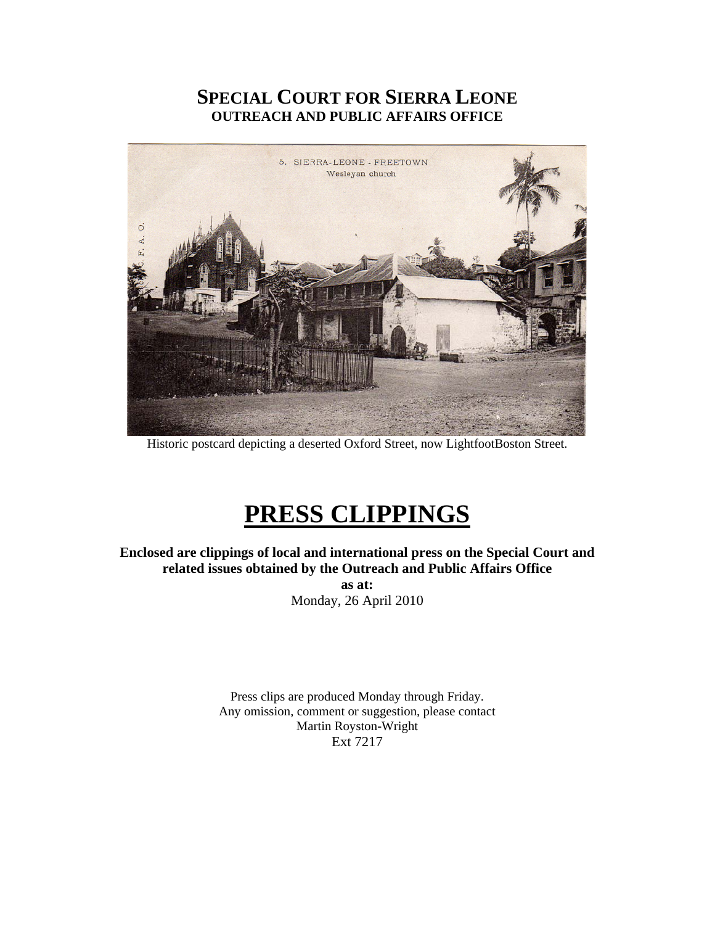# **SPECIAL COURT FOR SIERRA LEONE OUTREACH AND PUBLIC AFFAIRS OFFICE**



Historic postcard depicting a deserted Oxford Street, now LightfootBoston Street.

# **PRESS CLIPPINGS**

**Enclosed are clippings of local and international press on the Special Court and related issues obtained by the Outreach and Public Affairs Office** 

**as at:**  Monday, 26 April 2010

Press clips are produced Monday through Friday. Any omission, comment or suggestion, please contact Martin Royston-Wright Ext 7217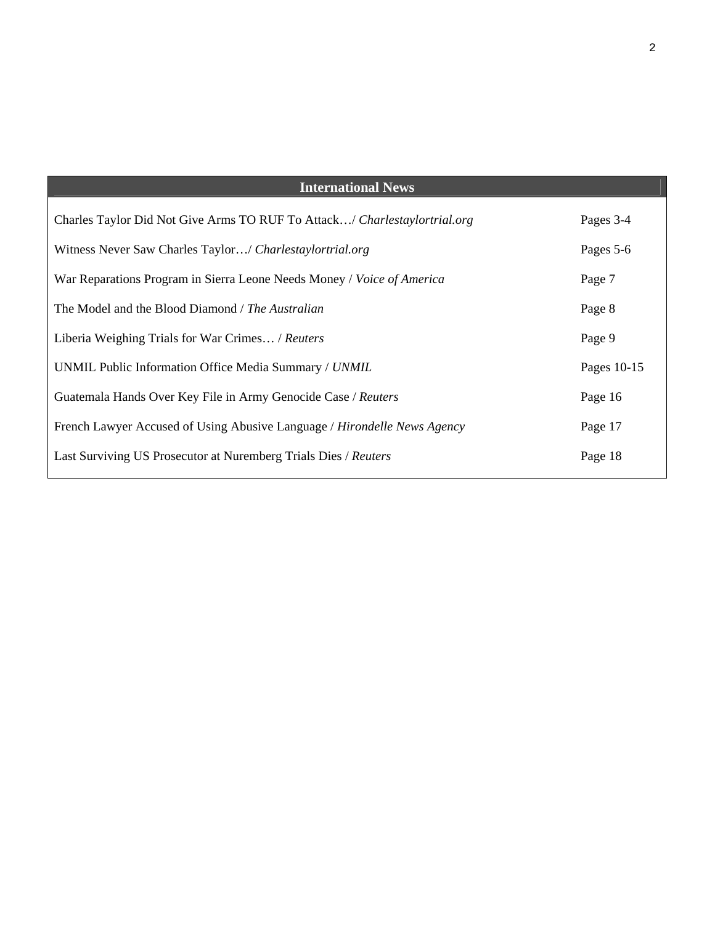| <b>International News</b>                                                 |             |
|---------------------------------------------------------------------------|-------------|
| Charles Taylor Did Not Give Arms TO RUF To Attack/ Charlestaylortrial.org | Pages 3-4   |
| Witness Never Saw Charles Taylor/ Charlestaylortrial.org                  | Pages 5-6   |
| War Reparations Program in Sierra Leone Needs Money / Voice of America    | Page 7      |
| The Model and the Blood Diamond / The Australian                          | Page 8      |
| Liberia Weighing Trials for War Crimes / Reuters                          | Page 9      |
| UNMIL Public Information Office Media Summary / UNMIL                     | Pages 10-15 |
| Guatemala Hands Over Key File in Army Genocide Case / Reuters             | Page 16     |
| French Lawyer Accused of Using Abusive Language / Hirondelle News Agency  | Page 17     |
| Last Surviving US Prosecutor at Nuremberg Trials Dies / Reuters           | Page 18     |
|                                                                           |             |

2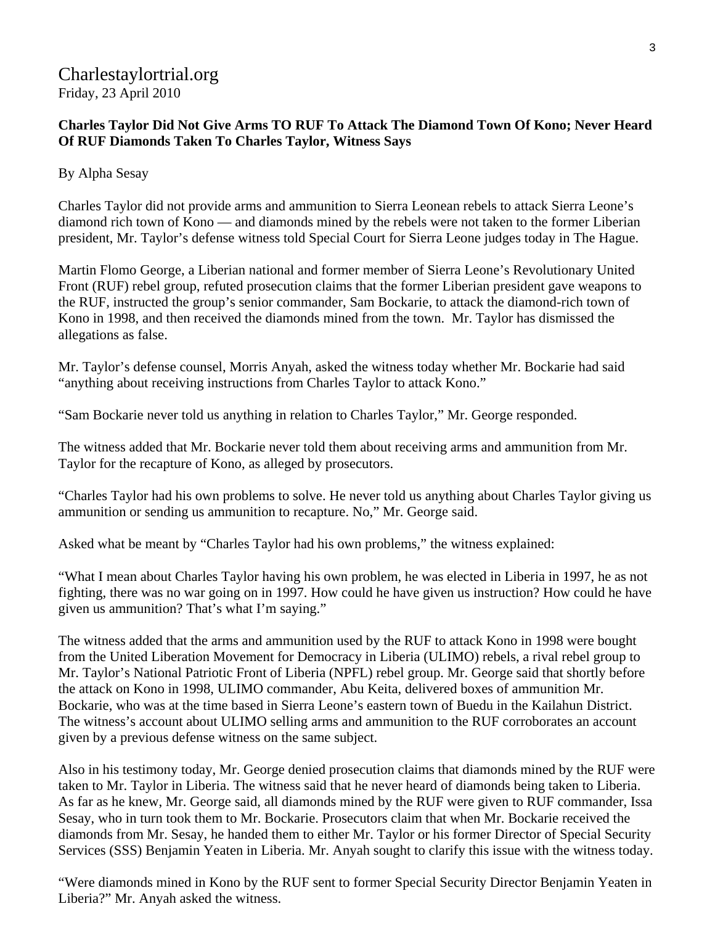# Charlestaylortrial.org Friday, 23 April 2010

### **Charles Taylor Did Not Give Arms TO RUF To Attack The Diamond Town Of Kono; Never Heard Of RUF Diamonds Taken To Charles Taylor, Witness Says**

### By Alpha Sesay

Charles Taylor did not provide arms and ammunition to Sierra Leonean rebels to attack Sierra Leone's diamond rich town of Kono — and diamonds mined by the rebels were not taken to the former Liberian president, Mr. Taylor's defense witness told Special Court for Sierra Leone judges today in The Hague.

Martin Flomo George, a Liberian national and former member of Sierra Leone's Revolutionary United Front (RUF) rebel group, refuted prosecution claims that the former Liberian president gave weapons to the RUF, instructed the group's senior commander, Sam Bockarie, to attack the diamond-rich town of Kono in 1998, and then received the diamonds mined from the town. Mr. Taylor has dismissed the allegations as false.

Mr. Taylor's defense counsel, Morris Anyah, asked the witness today whether Mr. Bockarie had said "anything about receiving instructions from Charles Taylor to attack Kono."

"Sam Bockarie never told us anything in relation to Charles Taylor," Mr. George responded.

The witness added that Mr. Bockarie never told them about receiving arms and ammunition from Mr. Taylor for the recapture of Kono, as alleged by prosecutors.

"Charles Taylor had his own problems to solve. He never told us anything about Charles Taylor giving us ammunition or sending us ammunition to recapture. No," Mr. George said.

Asked what be meant by "Charles Taylor had his own problems," the witness explained:

"What I mean about Charles Taylor having his own problem, he was elected in Liberia in 1997, he as not fighting, there was no war going on in 1997. How could he have given us instruction? How could he have given us ammunition? That's what I'm saying."

The witness added that the arms and ammunition used by the RUF to attack Kono in 1998 were bought from the United Liberation Movement for Democracy in Liberia (ULIMO) rebels, a rival rebel group to Mr. Taylor's National Patriotic Front of Liberia (NPFL) rebel group. Mr. George said that shortly before the attack on Kono in 1998, ULIMO commander, Abu Keita, delivered boxes of ammunition Mr. Bockarie, who was at the time based in Sierra Leone's eastern town of Buedu in the Kailahun District. The witness's account about ULIMO selling arms and ammunition to the RUF corroborates an account given by a previous defense witness on the same subject.

Also in his testimony today, Mr. George denied prosecution claims that diamonds mined by the RUF were taken to Mr. Taylor in Liberia. The witness said that he never heard of diamonds being taken to Liberia. As far as he knew, Mr. George said, all diamonds mined by the RUF were given to RUF commander, Issa Sesay, who in turn took them to Mr. Bockarie. Prosecutors claim that when Mr. Bockarie received the diamonds from Mr. Sesay, he handed them to either Mr. Taylor or his former Director of Special Security Services (SSS) Benjamin Yeaten in Liberia. Mr. Anyah sought to clarify this issue with the witness today.

"Were diamonds mined in Kono by the RUF sent to former Special Security Director Benjamin Yeaten in Liberia?" Mr. Anyah asked the witness.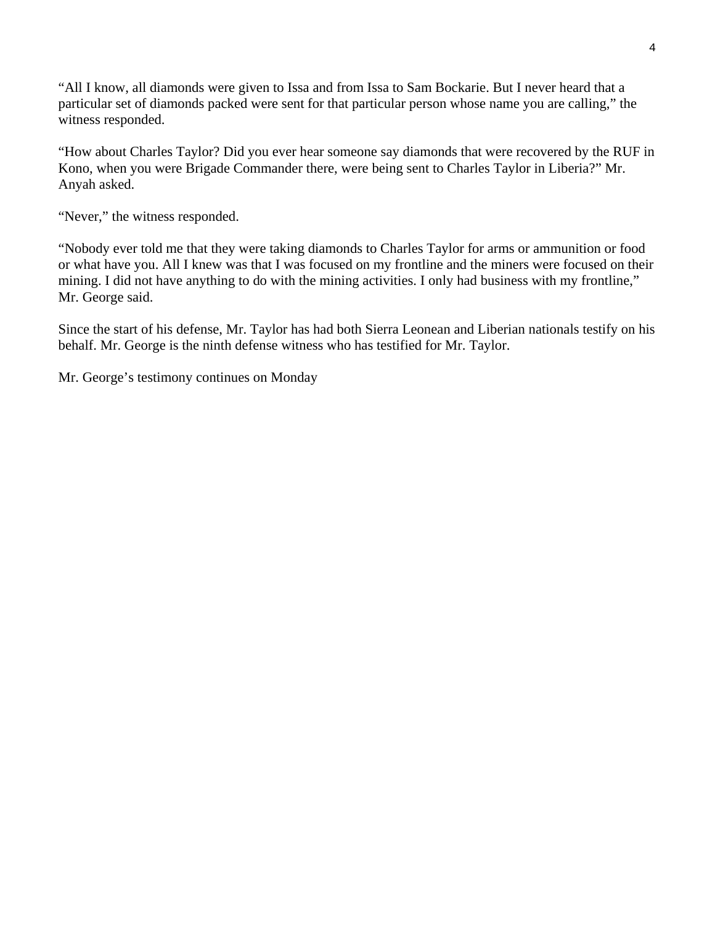"All I know, all diamonds were given to Issa and from Issa to Sam Bockarie. But I never heard that a particular set of diamonds packed were sent for that particular person whose name you are calling," the witness responded.

"How about Charles Taylor? Did you ever hear someone say diamonds that were recovered by the RUF in Kono, when you were Brigade Commander there, were being sent to Charles Taylor in Liberia?" Mr. Anyah asked.

"Never," the witness responded.

"Nobody ever told me that they were taking diamonds to Charles Taylor for arms or ammunition or food or what have you. All I knew was that I was focused on my frontline and the miners were focused on their mining. I did not have anything to do with the mining activities. I only had business with my frontline," Mr. George said.

Since the start of his defense, Mr. Taylor has had both Sierra Leonean and Liberian nationals testify on his behalf. Mr. George is the ninth defense witness who has testified for Mr. Taylor.

Mr. George's testimony continues on Monday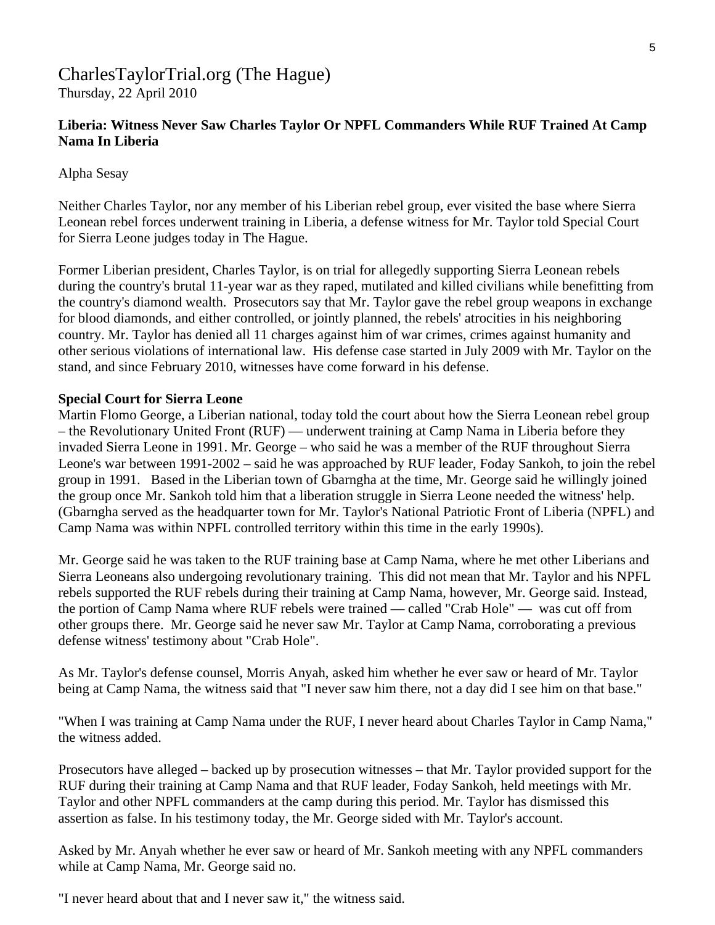# CharlesTaylorTrial.org (The Hague) Thursday, 22 April 2010

# **Liberia: Witness Never Saw Charles Taylor Or NPFL Commanders While RUF Trained At Camp Nama In Liberia**

### Alpha Sesay

Neither Charles Taylor, nor any member of his Liberian rebel group, ever visited the base where Sierra Leonean rebel forces underwent training in Liberia, a defense witness for Mr. Taylor told Special Court for Sierra Leone judges today in The Hague.

Former Liberian president, Charles Taylor, is on trial for allegedly supporting Sierra Leonean rebels during the country's brutal 11-year war as they raped, mutilated and killed civilians while benefitting from the country's diamond wealth. Prosecutors say that Mr. Taylor gave the rebel group weapons in exchange for blood diamonds, and either controlled, or jointly planned, the rebels' atrocities in his neighboring country. Mr. Taylor has denied all 11 charges against him of war crimes, crimes against humanity and other serious violations of international law. His defense case started in July 2009 with Mr. Taylor on the stand, and since February 2010, witnesses have come forward in his defense.

### **Special Court for Sierra Leone**

Martin Flomo George, a Liberian national, today told the court about how the Sierra Leonean rebel group – the Revolutionary United Front (RUF) — underwent training at Camp Nama in Liberia before they invaded Sierra Leone in 1991. Mr. George – who said he was a member of the RUF throughout Sierra Leone's war between 1991-2002 – said he was approached by RUF leader, Foday Sankoh, to join the rebel group in 1991. Based in the Liberian town of Gbarngha at the time, Mr. George said he willingly joined the group once Mr. Sankoh told him that a liberation struggle in Sierra Leone needed the witness' help. (Gbarngha served as the headquarter town for Mr. Taylor's National Patriotic Front of Liberia (NPFL) and Camp Nama was within NPFL controlled territory within this time in the early 1990s).

Mr. George said he was taken to the RUF training base at Camp Nama, where he met other Liberians and Sierra Leoneans also undergoing revolutionary training. This did not mean that Mr. Taylor and his NPFL rebels supported the RUF rebels during their training at Camp Nama, however, Mr. George said. Instead, the portion of Camp Nama where RUF rebels were trained — called "Crab Hole" — was cut off from other groups there. Mr. George said he never saw Mr. Taylor at Camp Nama, corroborating a previous defense witness' testimony about "Crab Hole".

As Mr. Taylor's defense counsel, Morris Anyah, asked him whether he ever saw or heard of Mr. Taylor being at Camp Nama, the witness said that "I never saw him there, not a day did I see him on that base."

"When I was training at Camp Nama under the RUF, I never heard about Charles Taylor in Camp Nama," the witness added.

Prosecutors have alleged – backed up by prosecution witnesses – that Mr. Taylor provided support for the RUF during their training at Camp Nama and that RUF leader, Foday Sankoh, held meetings with Mr. Taylor and other NPFL commanders at the camp during this period. Mr. Taylor has dismissed this assertion as false. In his testimony today, the Mr. George sided with Mr. Taylor's account.

Asked by Mr. Anyah whether he ever saw or heard of Mr. Sankoh meeting with any NPFL commanders while at Camp Nama, Mr. George said no.

"I never heard about that and I never saw it," the witness said.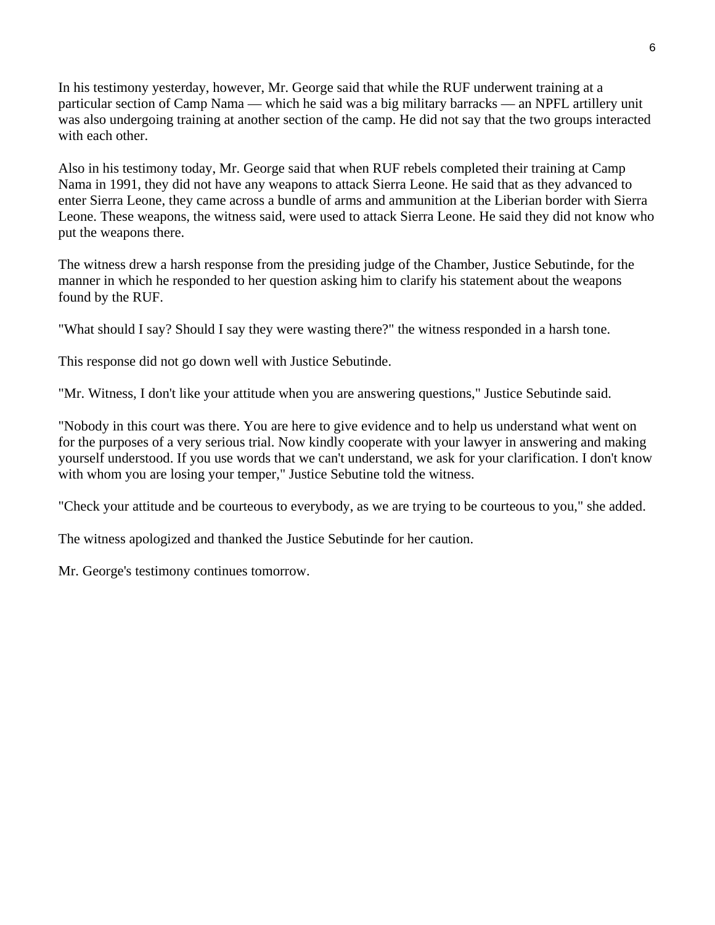In his testimony yesterday, however, Mr. George said that while the RUF underwent training at a particular section of Camp Nama — which he said was a big military barracks — an NPFL artillery unit was also undergoing training at another section of the camp. He did not say that the two groups interacted with each other.

Also in his testimony today, Mr. George said that when RUF rebels completed their training at Camp Nama in 1991, they did not have any weapons to attack Sierra Leone. He said that as they advanced to enter Sierra Leone, they came across a bundle of arms and ammunition at the Liberian border with Sierra Leone. These weapons, the witness said, were used to attack Sierra Leone. He said they did not know who put the weapons there.

The witness drew a harsh response from the presiding judge of the Chamber, Justice Sebutinde, for the manner in which he responded to her question asking him to clarify his statement about the weapons found by the RUF.

"What should I say? Should I say they were wasting there?" the witness responded in a harsh tone.

This response did not go down well with Justice Sebutinde.

"Mr. Witness, I don't like your attitude when you are answering questions," Justice Sebutinde said.

"Nobody in this court was there. You are here to give evidence and to help us understand what went on for the purposes of a very serious trial. Now kindly cooperate with your lawyer in answering and making yourself understood. If you use words that we can't understand, we ask for your clarification. I don't know with whom you are losing your temper," Justice Sebutine told the witness.

"Check your attitude and be courteous to everybody, as we are trying to be courteous to you," she added.

The witness apologized and thanked the Justice Sebutinde for her caution.

Mr. George's testimony continues tomorrow.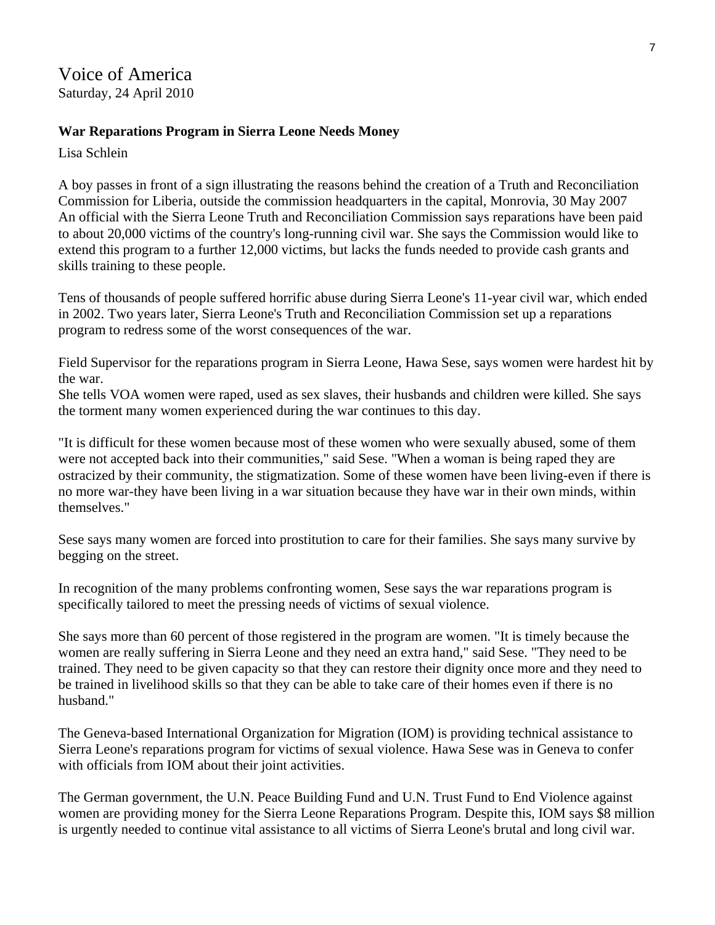Voice of America Saturday, 24 April 2010

### **War Reparations Program in Sierra Leone Needs Money**

Lisa Schlein

A boy passes in front of a sign illustrating the reasons behind the creation of a Truth and Reconciliation Commission for Liberia, outside the commission headquarters in the capital, Monrovia, 30 May 2007 An official with the Sierra Leone Truth and Reconciliation Commission says reparations have been paid to about 20,000 victims of the country's long-running civil war. She says the Commission would like to extend this program to a further 12,000 victims, but lacks the funds needed to provide cash grants and skills training to these people.

Tens of thousands of people suffered horrific abuse during Sierra Leone's 11-year civil war, which ended in 2002. Two years later, Sierra Leone's Truth and Reconciliation Commission set up a reparations program to redress some of the worst consequences of the war.

Field Supervisor for the reparations program in Sierra Leone, Hawa Sese, says women were hardest hit by the war.

She tells VOA women were raped, used as sex slaves, their husbands and children were killed. She says the torment many women experienced during the war continues to this day.

"It is difficult for these women because most of these women who were sexually abused, some of them were not accepted back into their communities," said Sese. "When a woman is being raped they are ostracized by their community, the stigmatization. Some of these women have been living-even if there is no more war-they have been living in a war situation because they have war in their own minds, within themselves."

Sese says many women are forced into prostitution to care for their families. She says many survive by begging on the street.

In recognition of the many problems confronting women, Sese says the war reparations program is specifically tailored to meet the pressing needs of victims of sexual violence.

She says more than 60 percent of those registered in the program are women. "It is timely because the women are really suffering in Sierra Leone and they need an extra hand," said Sese. "They need to be trained. They need to be given capacity so that they can restore their dignity once more and they need to be trained in livelihood skills so that they can be able to take care of their homes even if there is no husband."

The Geneva-based International Organization for Migration (IOM) is providing technical assistance to Sierra Leone's reparations program for victims of sexual violence. Hawa Sese was in Geneva to confer with officials from IOM about their joint activities.

The German government, the U.N. Peace Building Fund and U.N. Trust Fund to End Violence against women are providing money for the Sierra Leone Reparations Program. Despite this, IOM says \$8 million is urgently needed to continue vital assistance to all victims of Sierra Leone's brutal and long civil war.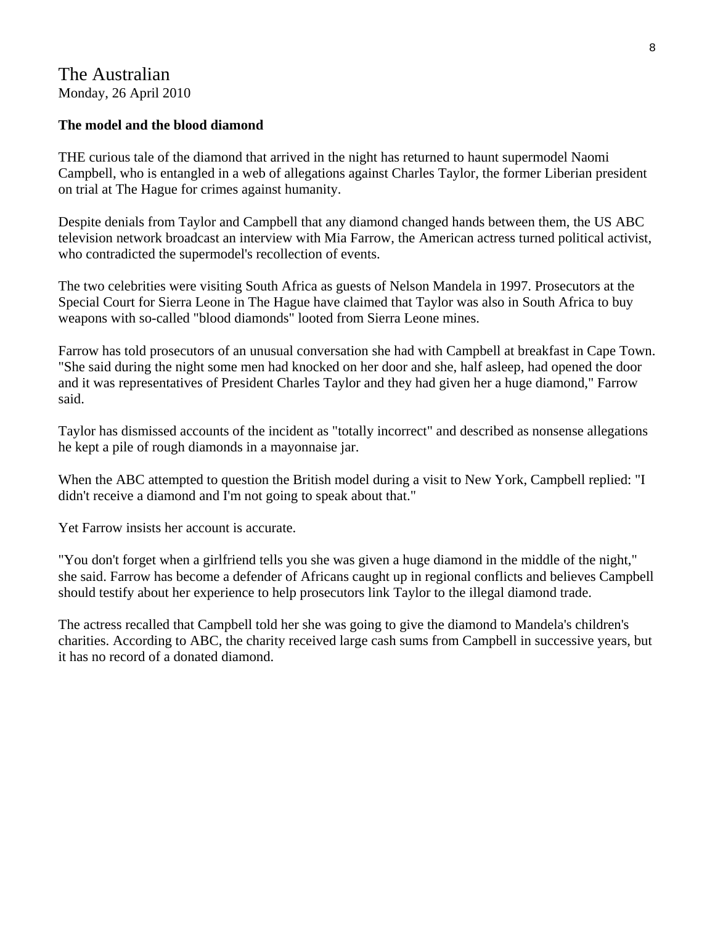# The Australian Monday, 26 April 2010

### **The model and the blood diamond**

THE curious tale of the diamond that arrived in the night has returned to haunt supermodel Naomi Campbell, who is entangled in a web of allegations against Charles Taylor, the former Liberian president on trial at The Hague for crimes against humanity.

Despite denials from Taylor and Campbell that any diamond changed hands between them, the US ABC television network broadcast an interview with Mia Farrow, the American actress turned political activist, who contradicted the supermodel's recollection of events.

The two celebrities were visiting South Africa as guests of Nelson Mandela in 1997. Prosecutors at the Special Court for Sierra Leone in The Hague have claimed that Taylor was also in South Africa to buy weapons with so-called "blood diamonds" looted from Sierra Leone mines.

Farrow has told prosecutors of an unusual conversation she had with Campbell at breakfast in Cape Town. "She said during the night some men had knocked on her door and she, half asleep, had opened the door and it was representatives of President Charles Taylor and they had given her a huge diamond," Farrow said.

Taylor has dismissed accounts of the incident as "totally incorrect" and described as nonsense allegations he kept a pile of rough diamonds in a mayonnaise jar.

When the ABC attempted to question the British model during a visit to New York, Campbell replied: "I didn't receive a diamond and I'm not going to speak about that."

Yet Farrow insists her account is accurate.

"You don't forget when a girlfriend tells you she was given a huge diamond in the middle of the night," she said. Farrow has become a defender of Africans caught up in regional conflicts and believes Campbell should testify about her experience to help prosecutors link Taylor to the illegal diamond trade.

The actress recalled that Campbell told her she was going to give the diamond to Mandela's children's charities. According to ABC, the charity received large cash sums from Campbell in successive years, but it has no record of a donated diamond.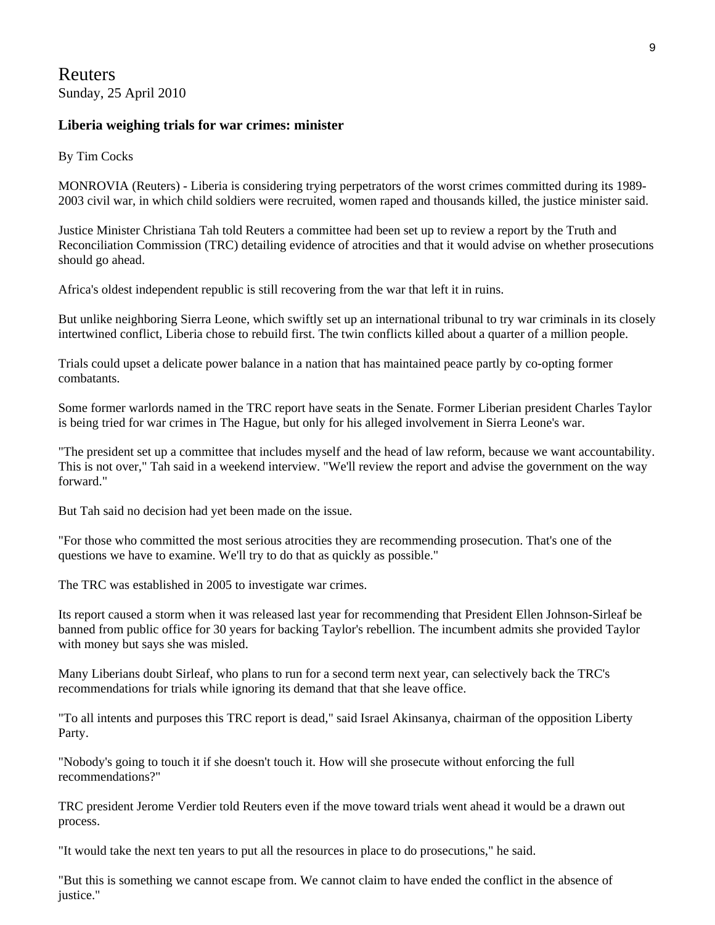# Reuters Sunday, 25 April 2010

### **Liberia weighing trials for war crimes: minister**

By Tim Cocks

MONROVIA (Reuters) - Liberia is considering trying perpetrators of the worst crimes committed during its 1989- 2003 civil war, in which child soldiers were recruited, women raped and thousands killed, the justice minister said.

Justice Minister Christiana Tah told Reuters a committee had been set up to review a report by the Truth and Reconciliation Commission (TRC) detailing evidence of atrocities and that it would advise on whether prosecutions should go ahead.

Africa's oldest independent republic is still recovering from the war that left it in ruins.

But unlike neighboring Sierra Leone, which swiftly set up an international tribunal to try war criminals in its closely intertwined conflict, Liberia chose to rebuild first. The twin conflicts killed about a quarter of a million people.

Trials could upset a delicate power balance in a nation that has maintained peace partly by co-opting former combatants.

Some former warlords named in the TRC report have seats in the Senate. Former Liberian president Charles Taylor is being tried for war crimes in The Hague, but only for his alleged involvement in Sierra Leone's war.

"The president set up a committee that includes myself and the head of law reform, because we want accountability. This is not over," Tah said in a weekend interview. "We'll review the report and advise the government on the way forward."

But Tah said no decision had yet been made on the issue.

"For those who committed the most serious atrocities they are recommending prosecution. That's one of the questions we have to examine. We'll try to do that as quickly as possible."

The TRC was established in 2005 to investigate war crimes.

Its report caused a storm when it was released last year for recommending that President Ellen Johnson-Sirleaf be banned from public office for 30 years for backing Taylor's rebellion. The incumbent admits she provided Taylor with money but says she was misled.

Many Liberians doubt Sirleaf, who plans to run for a second term next year, can selectively back the TRC's recommendations for trials while ignoring its demand that that she leave office.

"To all intents and purposes this TRC report is dead," said Israel Akinsanya, chairman of the opposition Liberty Party.

"Nobody's going to touch it if she doesn't touch it. How will she prosecute without enforcing the full recommendations?"

TRC president Jerome Verdier told Reuters even if the move toward trials went ahead it would be a drawn out process.

"It would take the next ten years to put all the resources in place to do prosecutions," he said.

"But this is something we cannot escape from. We cannot claim to have ended the conflict in the absence of justice."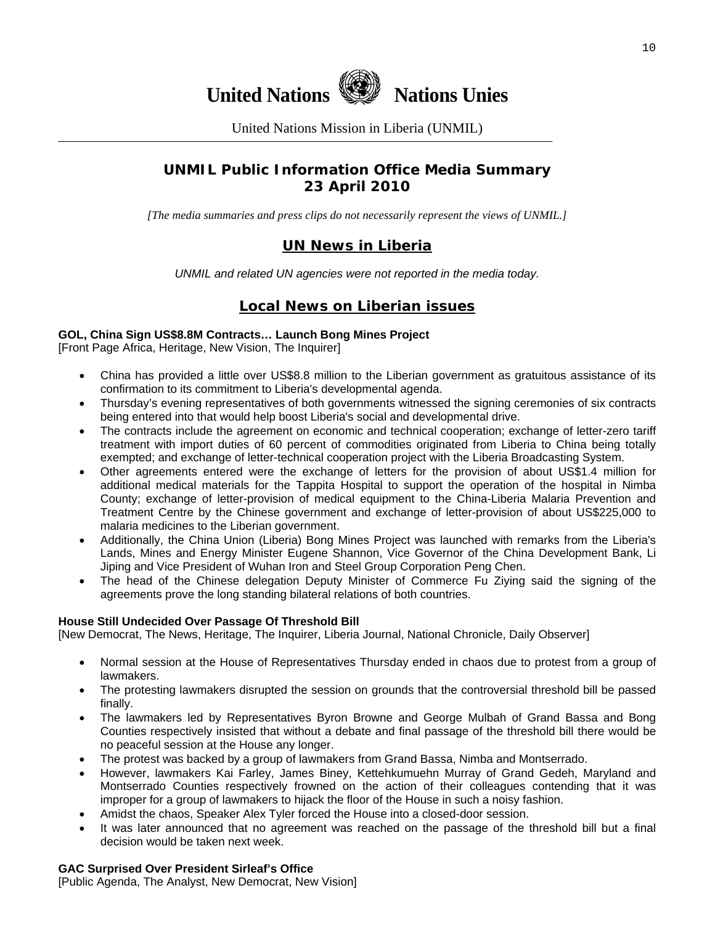

United Nations Mission in Liberia (UNMIL)

# **UNMIL Public Information Office Media Summary 23 April 2010**

*[The media summaries and press clips do not necessarily represent the views of UNMIL.]* 

# **UN News in Liberia**

*UNMIL and related UN agencies were not reported in the media today.* 

### **Local News on Liberian issues**

### **GOL, China Sign US\$8.8M Contracts… Launch Bong Mines Project**

[Front Page Africa, Heritage, New Vision, The Inquirer]

- China has provided a little over US\$8.8 million to the Liberian government as gratuitous assistance of its confirmation to its commitment to Liberia's developmental agenda.
- Thursday's evening representatives of both governments witnessed the signing ceremonies of six contracts being entered into that would help boost Liberia's social and developmental drive.
- The contracts include the agreement on economic and technical cooperation; exchange of letter-zero tariff treatment with import duties of 60 percent of commodities originated from Liberia to China being totally exempted; and exchange of letter-technical cooperation project with the Liberia Broadcasting System.
- Other agreements entered were the exchange of letters for the provision of about US\$1.4 million for additional medical materials for the Tappita Hospital to support the operation of the hospital in Nimba County; exchange of letter-provision of medical equipment to the China-Liberia Malaria Prevention and Treatment Centre by the Chinese government and exchange of letter-provision of about US\$225,000 to malaria medicines to the Liberian government.
- Additionally, the China Union (Liberia) Bong Mines Project was launched with remarks from the Liberia's Lands, Mines and Energy Minister Eugene Shannon, Vice Governor of the China Development Bank, Li Jiping and Vice President of Wuhan Iron and Steel Group Corporation Peng Chen.
- The head of the Chinese delegation Deputy Minister of Commerce Fu Ziying said the signing of the agreements prove the long standing bilateral relations of both countries.

### **House Still Undecided Over Passage Of Threshold Bill**

[New Democrat, The News, Heritage, The Inquirer, Liberia Journal, National Chronicle, Daily Observer]

- Normal session at the House of Representatives Thursday ended in chaos due to protest from a group of lawmakers.
- The protesting lawmakers disrupted the session on grounds that the controversial threshold bill be passed finally.
- The lawmakers led by Representatives Byron Browne and George Mulbah of Grand Bassa and Bong Counties respectively insisted that without a debate and final passage of the threshold bill there would be no peaceful session at the House any longer.
- The protest was backed by a group of lawmakers from Grand Bassa, Nimba and Montserrado.
- However, lawmakers Kai Farley, James Biney, Kettehkumuehn Murray of Grand Gedeh, Maryland and Montserrado Counties respectively frowned on the action of their colleagues contending that it was improper for a group of lawmakers to hijack the floor of the House in such a noisy fashion.
- Amidst the chaos, Speaker Alex Tyler forced the House into a closed-door session.
- It was later announced that no agreement was reached on the passage of the threshold bill but a final decision would be taken next week.

### **GAC Surprised Over President Sirleaf's Office**

[Public Agenda, The Analyst, New Democrat, New Vision]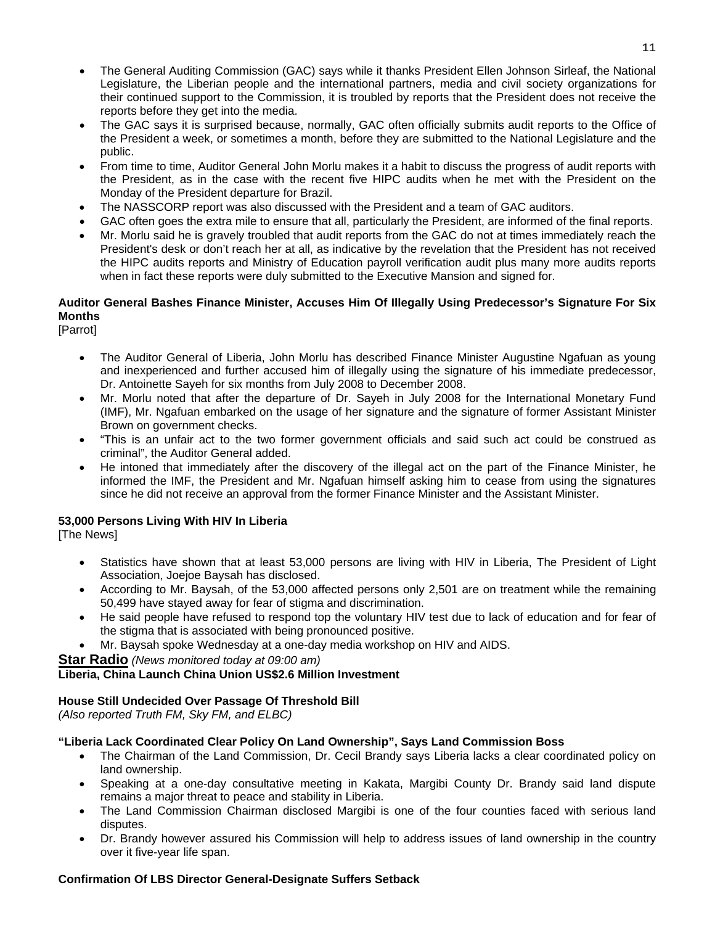- The General Auditing Commission (GAC) says while it thanks President Ellen Johnson Sirleaf, the National Legislature, the Liberian people and the international partners, media and civil society organizations for their continued support to the Commission, it is troubled by reports that the President does not receive the reports before they get into the media.
- The GAC says it is surprised because, normally, GAC often officially submits audit reports to the Office of the President a week, or sometimes a month, before they are submitted to the National Legislature and the public.
- From time to time, Auditor General John Morlu makes it a habit to discuss the progress of audit reports with the President, as in the case with the recent five HIPC audits when he met with the President on the Monday of the President departure for Brazil.
- The NASSCORP report was also discussed with the President and a team of GAC auditors.
- GAC often goes the extra mile to ensure that all, particularly the President, are informed of the final reports.
- Mr. Morlu said he is gravely troubled that audit reports from the GAC do not at times immediately reach the President's desk or don't reach her at all, as indicative by the revelation that the President has not received the HIPC audits reports and Ministry of Education payroll verification audit plus many more audits reports when in fact these reports were duly submitted to the Executive Mansion and signed for.

### **Auditor General Bashes Finance Minister, Accuses Him Of Illegally Using Predecessor's Signature For Six Months**

[Parrot]

- The Auditor General of Liberia, John Morlu has described Finance Minister Augustine Ngafuan as young and inexperienced and further accused him of illegally using the signature of his immediate predecessor, Dr. Antoinette Sayeh for six months from July 2008 to December 2008.
- Mr. Morlu noted that after the departure of Dr. Sayeh in July 2008 for the International Monetary Fund (IMF), Mr. Ngafuan embarked on the usage of her signature and the signature of former Assistant Minister Brown on government checks.
- "This is an unfair act to the two former government officials and said such act could be construed as criminal", the Auditor General added.
- He intoned that immediately after the discovery of the illegal act on the part of the Finance Minister, he informed the IMF, the President and Mr. Ngafuan himself asking him to cease from using the signatures since he did not receive an approval from the former Finance Minister and the Assistant Minister.

### **53,000 Persons Living With HIV In Liberia**

[The News]

- Statistics have shown that at least 53,000 persons are living with HIV in Liberia, The President of Light Association, Joejoe Baysah has disclosed.
- According to Mr. Baysah, of the 53,000 affected persons only 2,501 are on treatment while the remaining 50,499 have stayed away for fear of stigma and discrimination.
- He said people have refused to respond top the voluntary HIV test due to lack of education and for fear of the stigma that is associated with being pronounced positive.
- Mr. Baysah spoke Wednesday at a one-day media workshop on HIV and AIDS.

**Star Radio** *(News monitored today at 09:00 am)*

### **Liberia, China Launch China Union US\$2.6 Million Investment**

### **House Still Undecided Over Passage Of Threshold Bill**

*(Also reported Truth FM, Sky FM, and ELBC)*

### **"Liberia Lack Coordinated Clear Policy On Land Ownership", Says Land Commission Boss**

- The Chairman of the Land Commission, Dr. Cecil Brandy says Liberia lacks a clear coordinated policy on land ownership.
- Speaking at a one-day consultative meeting in Kakata, Margibi County Dr. Brandy said land dispute remains a major threat to peace and stability in Liberia.
- The Land Commission Chairman disclosed Margibi is one of the four counties faced with serious land disputes.
- Dr. Brandy however assured his Commission will help to address issues of land ownership in the country over it five-year life span.

### **Confirmation Of LBS Director General-Designate Suffers Setback**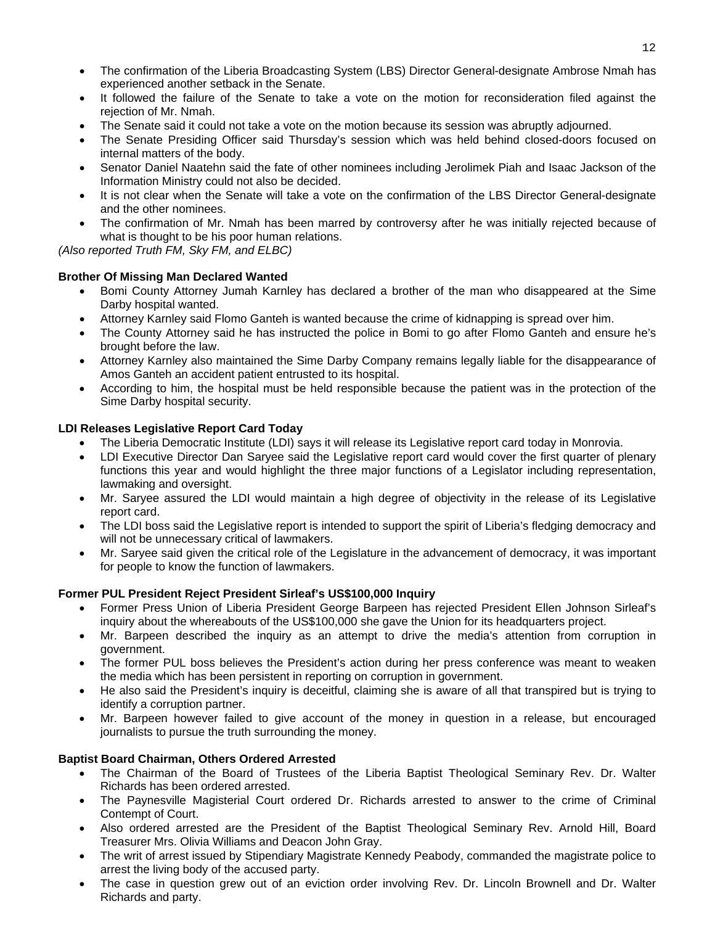- The confirmation of the Liberia Broadcasting System (LBS) Director General-designate Ambrose Nmah has experienced another setback in the Senate.
- It followed the failure of the Senate to take a vote on the motion for reconsideration filed against the rejection of Mr. Nmah.
- The Senate said it could not take a vote on the motion because its session was abruptly adjourned.
- The Senate Presiding Officer said Thursday's session which was held behind closed-doors focused on internal matters of the body.
- Senator Daniel Naatehn said the fate of other nominees including Jerolimek Piah and Isaac Jackson of the Information Ministry could not also be decided.
- It is not clear when the Senate will take a vote on the confirmation of the LBS Director General-designate and the other nominees.
- The confirmation of Mr. Nmah has been marred by controversy after he was initially rejected because of what is thought to be his poor human relations.

*(Also reported Truth FM, Sky FM, and ELBC)*

### **Brother Of Missing Man Declared Wanted**

- Bomi County Attorney Jumah Karnley has declared a brother of the man who disappeared at the Sime Darby hospital wanted.
- Attorney Karnley said Flomo Ganteh is wanted because the crime of kidnapping is spread over him.
- The County Attorney said he has instructed the police in Bomi to go after Flomo Ganteh and ensure he's brought before the law.
- Attorney Karnley also maintained the Sime Darby Company remains legally liable for the disappearance of Amos Ganteh an accident patient entrusted to its hospital.
- According to him, the hospital must be held responsible because the patient was in the protection of the Sime Darby hospital security.

### **LDI Releases Legislative Report Card Today**

- The Liberia Democratic Institute (LDI) says it will release its Legislative report card today in Monrovia.
- LDI Executive Director Dan Saryee said the Legislative report card would cover the first quarter of plenary functions this year and would highlight the three major functions of a Legislator including representation, lawmaking and oversight.
- Mr. Saryee assured the LDI would maintain a high degree of objectivity in the release of its Legislative report card.
- The LDI boss said the Legislative report is intended to support the spirit of Liberia's fledging democracy and will not be unnecessary critical of lawmakers.
- Mr. Saryee said given the critical role of the Legislature in the advancement of democracy, it was important for people to know the function of lawmakers.

### **Former PUL President Reject President Sirleaf's US\$100,000 Inquiry**

- Former Press Union of Liberia President George Barpeen has rejected President Ellen Johnson Sirleaf's inquiry about the whereabouts of the US\$100,000 she gave the Union for its headquarters project.
- Mr. Barpeen described the inquiry as an attempt to drive the media's attention from corruption in government.
- The former PUL boss believes the President's action during her press conference was meant to weaken the media which has been persistent in reporting on corruption in government.
- He also said the President's inquiry is deceitful, claiming she is aware of all that transpired but is trying to identify a corruption partner.
- Mr. Barpeen however failed to give account of the money in question in a release, but encouraged journalists to pursue the truth surrounding the money.

### **Baptist Board Chairman, Others Ordered Arrested**

- The Chairman of the Board of Trustees of the Liberia Baptist Theological Seminary Rev. Dr. Walter Richards has been ordered arrested.
- The Paynesville Magisterial Court ordered Dr. Richards arrested to answer to the crime of Criminal Contempt of Court.
- Also ordered arrested are the President of the Baptist Theological Seminary Rev. Arnold Hill, Board Treasurer Mrs. Olivia Williams and Deacon John Gray.
- The writ of arrest issued by Stipendiary Magistrate Kennedy Peabody, commanded the magistrate police to arrest the living body of the accused party.
- The case in question grew out of an eviction order involving Rev. Dr. Lincoln Brownell and Dr. Walter Richards and party.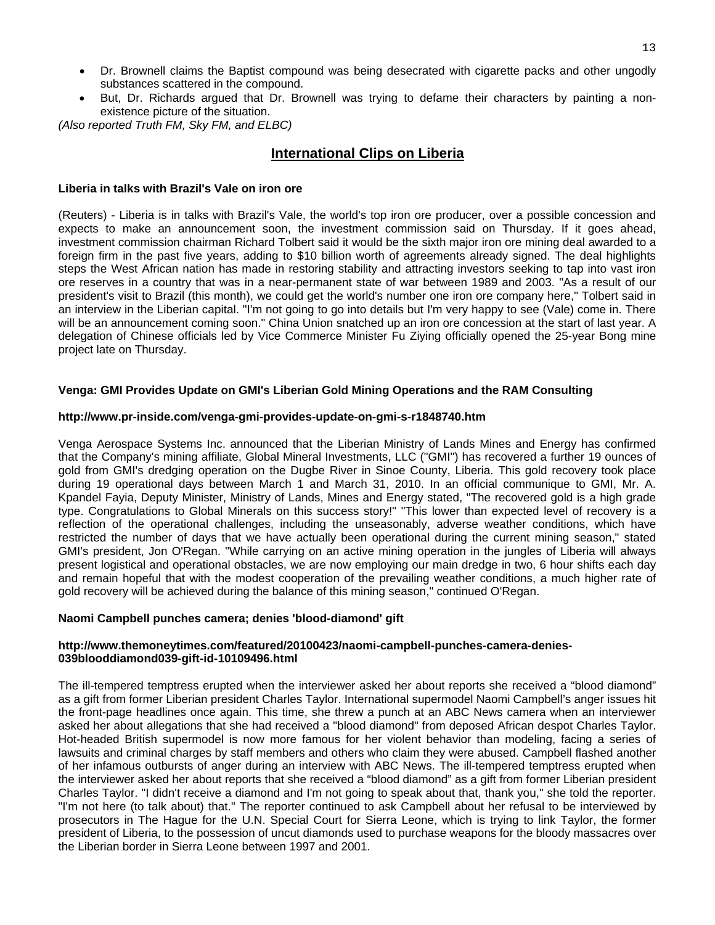- Dr. Brownell claims the Baptist compound was being desecrated with cigarette packs and other ungodly substances scattered in the compound.
- But, Dr. Richards argued that Dr. Brownell was trying to defame their characters by painting a nonexistence picture of the situation.

*(Also reported Truth FM, Sky FM, and ELBC)* 

### **International Clips on Liberia**

#### **Liberia in talks with Brazil's Vale on iron ore**

(Reuters) - Liberia is in talks with Brazil's Vale, the world's top iron ore producer, over a possible concession and expects to make an announcement soon, the investment commission said on Thursday. If it goes ahead, investment commission chairman Richard Tolbert said it would be the sixth major iron ore mining deal awarded to a foreign firm in the past five years, adding to \$10 billion worth of agreements already signed. The deal highlights steps the West African nation has made in restoring stability and attracting investors seeking to tap into vast iron ore reserves in a country that was in a near-permanent state of war between 1989 and 2003. "As a result of our president's visit to Brazil (this month), we could get the world's number one iron ore company here," Tolbert said in an interview in the Liberian capital. "I'm not going to go into details but I'm very happy to see (Vale) come in. There will be an announcement coming soon." China Union snatched up an iron ore concession at the start of last year. A delegation of Chinese officials led by Vice Commerce Minister Fu Ziying officially opened the 25-year Bong mine project late on Thursday.

#### **Venga: GMI Provides Update on GMI's Liberian Gold Mining Operations and the RAM Consulting**

#### **http://www.pr-inside.com/venga-gmi-provides-update-on-gmi-s-r1848740.htm**

Venga Aerospace Systems Inc. announced that the Liberian Ministry of Lands Mines and Energy has confirmed that the Company's mining affiliate, Global Mineral Investments, LLC ("GMI") has recovered a further 19 ounces of gold from GMI's dredging operation on the Dugbe River in Sinoe County, Liberia. This gold recovery took place during 19 operational days between March 1 and March 31, 2010. In an official communique to GMI, Mr. A. Kpandel Fayia, Deputy Minister, Ministry of Lands, Mines and Energy stated, "The recovered gold is a high grade type. Congratulations to Global Minerals on this success story!" "This lower than expected level of recovery is a reflection of the operational challenges, including the unseasonably, adverse weather conditions, which have restricted the number of days that we have actually been operational during the current mining season," stated GMI's president, Jon O'Regan. "While carrying on an active mining operation in the jungles of Liberia will always present logistical and operational obstacles, we are now employing our main dredge in two, 6 hour shifts each day and remain hopeful that with the modest cooperation of the prevailing weather conditions, a much higher rate of gold recovery will be achieved during the balance of this mining season," continued O'Regan.

#### **Naomi Campbell punches camera; denies 'blood-diamond' gift**

#### **http://www.themoneytimes.com/featured/20100423/naomi-campbell-punches-camera-denies-039blooddiamond039-gift-id-10109496.html**

The ill-tempered temptress erupted when the interviewer asked her about reports she received a "blood diamond" as a gift from former Liberian president Charles Taylor. International supermodel Naomi Campbell's anger issues hit the front-page headlines once again. This time, she threw a punch at an ABC News camera when an interviewer asked her about allegations that she had received a "blood diamond" from deposed African despot Charles Taylor. Hot-headed British supermodel is now more famous for her violent behavior than modeling, facing a series of lawsuits and criminal charges by staff members and others who claim they were abused. Campbell flashed another of her infamous outbursts of anger during an interview with ABC News. The ill-tempered temptress erupted when the interviewer asked her about reports that she received a "blood diamond" as a gift from former Liberian president Charles Taylor. "I didn't receive a diamond and I'm not going to speak about that, thank you," she told the reporter. "I'm not here (to talk about) that." The reporter continued to ask Campbell about her refusal to be interviewed by prosecutors in The Hague for the U.N. Special Court for Sierra Leone, which is trying to link Taylor, the former president of Liberia, to the possession of uncut diamonds used to purchase weapons for the bloody massacres over the Liberian border in Sierra Leone between 1997 and 2001.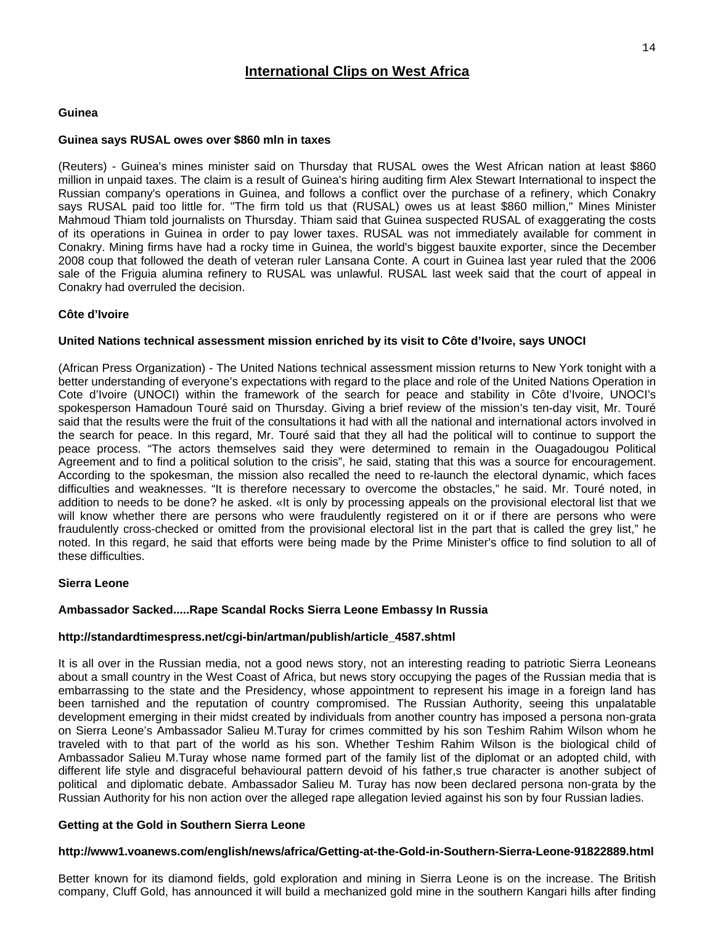#### **Guinea**

#### **Guinea says RUSAL owes over \$860 mln in taxes**

(Reuters) - Guinea's mines minister said on Thursday that RUSAL owes the West African nation at least \$860 million in unpaid taxes. The claim is a result of Guinea's hiring auditing firm Alex Stewart International to inspect the Russian company's operations in Guinea, and follows a conflict over the purchase of a refinery, which Conakry says RUSAL paid too little for. "The firm told us that (RUSAL) owes us at least \$860 million," Mines Minister Mahmoud Thiam told journalists on Thursday. Thiam said that Guinea suspected RUSAL of exaggerating the costs of its operations in Guinea in order to pay lower taxes. RUSAL was not immediately available for comment in Conakry. Mining firms have had a rocky time in Guinea, the world's biggest bauxite exporter, since the December 2008 coup that followed the death of veteran ruler Lansana Conte. A court in Guinea last year ruled that the 2006 sale of the Friguia alumina refinery to RUSAL was unlawful. RUSAL last week said that the court of appeal in Conakry had overruled the decision.

#### **Côte d'Ivoire**

#### **United Nations technical assessment mission enriched by its visit to Côte d'Ivoire, says UNOCI**

(African Press Organization) - The United Nations technical assessment mission returns to New York tonight with a better understanding of everyone's expectations with regard to the place and role of the United Nations Operation in Cote d'Ivoire (UNOCI) within the framework of the search for peace and stability in Côte d'Ivoire, UNOCI's spokesperson Hamadoun Touré said on Thursday. Giving a brief review of the mission's ten-day visit, Mr. Touré said that the results were the fruit of the consultations it had with all the national and international actors involved in the search for peace. In this regard, Mr. Touré said that they all had the political will to continue to support the peace process. "The actors themselves said they were determined to remain in the Ouagadougou Political Agreement and to find a political solution to the crisis", he said, stating that this was a source for encouragement. According to the spokesman, the mission also recalled the need to re-launch the electoral dynamic, which faces difficulties and weaknesses. "It is therefore necessary to overcome the obstacles," he said. Mr. Touré noted, in addition to needs to be done? he asked. «It is only by processing appeals on the provisional electoral list that we will know whether there are persons who were fraudulently registered on it or if there are persons who were fraudulently cross-checked or omitted from the provisional electoral list in the part that is called the grey list," he noted. In this regard, he said that efforts were being made by the Prime Minister's office to find solution to all of these difficulties.

#### **Sierra Leone**

#### **Ambassador Sacked.....Rape Scandal Rocks Sierra Leone Embassy In Russia**

#### **[http://standardtimespress.net/cgi-bin/artman/publish/article\\_4587.shtml](http://standardtimespress.net/cgi-bin/artman/publish/article_4587.shtml)**

It is all over in the Russian media, not a good news story, not an interesting reading to patriotic Sierra Leoneans about a small country in the West Coast of Africa, but news story occupying the pages of the Russian media that is embarrassing to the state and the Presidency, whose appointment to represent his image in a foreign land has been tarnished and the reputation of country compromised. The Russian Authority, seeing this unpalatable development emerging in their midst created by individuals from another country has imposed a persona non-grata on Sierra Leone's Ambassador Salieu M.Turay for crimes committed by his son Teshim Rahim Wilson whom he traveled with to that part of the world as his son. Whether Teshim Rahim Wilson is the biological child of Ambassador Salieu M.Turay whose name formed part of the family list of the diplomat or an adopted child, with different life style and disgraceful behavioural pattern devoid of his father,s true character is another subject of political and diplomatic debate. Ambassador Salieu M. Turay has now been declared persona non-grata by the Russian Authority for his non action over the alleged rape allegation levied against his son by four Russian ladies.

#### **Getting at the Gold in Southern Sierra Leone**

#### **http://www1.voanews.com/english/news/africa/Getting-at-the-Gold-in-Southern-Sierra-Leone-91822889.html**

Better known for its diamond fields, gold exploration and mining in Sierra Leone is on the increase. The British company, Cluff Gold, has announced it will build a mechanized gold mine in the southern Kangari hills after finding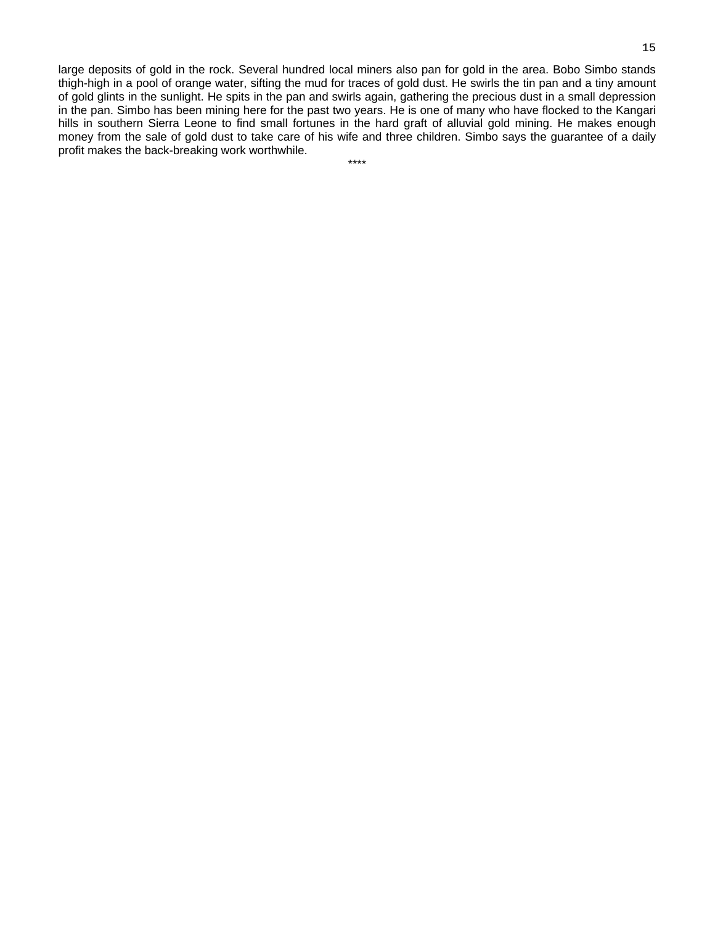15

large deposits of gold in the rock. Several hundred local miners also pan for gold in the area. Bobo Simbo stands thigh-high in a pool of orange water, sifting the mud for traces of gold dust. He swirls the tin pan and a tiny amount of gold glints in the sunlight. He spits in the pan and swirls again, gathering the precious dust in a small depression in the pan. Simbo has been mining here for the past two years. He is one of many who have flocked to the Kangari hills in southern Sierra Leone to find small fortunes in the hard graft of alluvial gold mining. He makes enough money from the sale of gold dust to take care of his wife and three children. Simbo says the guarantee of a daily profit makes the back-breaking work worthwhile.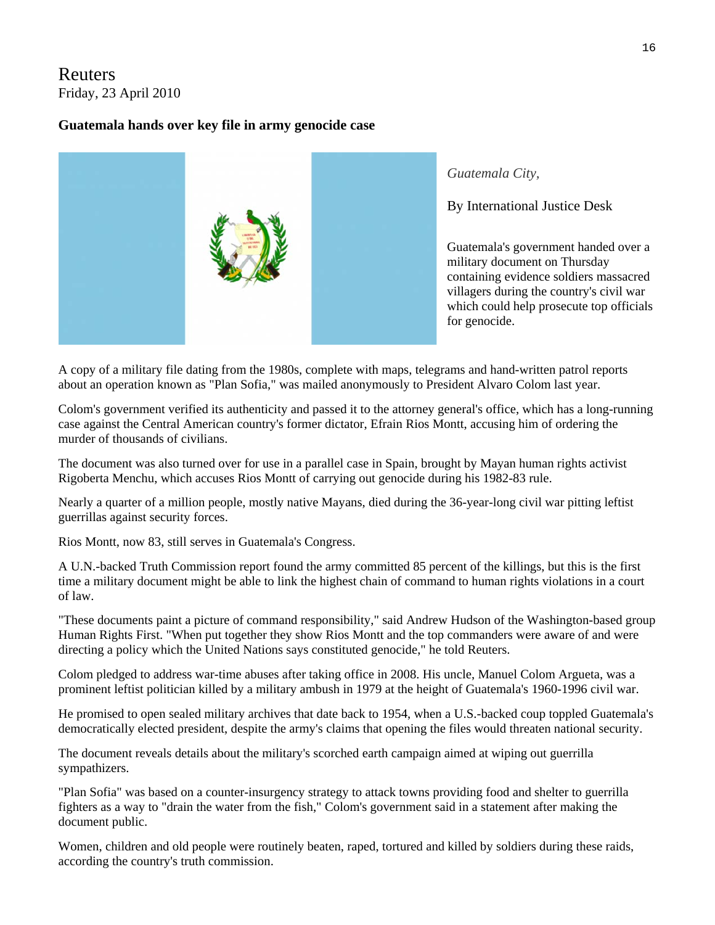# Reuters Friday, 23 April 2010

### **Guatemala hands over key file in army genocide case**



*Guatemala City,* 

By [International Justice Desk](http://www.rnw.nl/international-justice/users/international-justice-desk) 

Guatemala's government handed over a military document on Thursday containing evidence soldiers massacred villagers during the country's civil war which could help prosecute top officials for genocide.

A copy of a military file dating from the 1980s, complete with maps, telegrams and hand-written patrol reports about an operation known as "Plan Sofia," was mailed anonymously to President Alvaro Colom last year.

Colom's government verified its authenticity and passed it to the attorney general's office, which has a long-running case against the Central American country's former dictator, Efrain Rios Montt, accusing him of ordering the murder of thousands of civilians.

The document was also turned over for use in a parallel case in Spain, brought by Mayan human rights activist Rigoberta Menchu, which accuses Rios Montt of carrying out genocide during his 1982-83 rule.

Nearly a quarter of a million people, mostly native Mayans, died during the 36-year-long civil war pitting leftist guerrillas against security forces.

Rios Montt, now 83, still serves in Guatemala's Congress.

A U.N.-backed Truth Commission report found the army committed 85 percent of the killings, but this is the first time a military document might be able to link the highest chain of command to human rights violations in a court of law.

"These documents paint a picture of command responsibility," said Andrew Hudson of the Washington-based group Human Rights First. "When put together they show Rios Montt and the top commanders were aware of and were directing a policy which the United Nations says constituted genocide," he told Reuters.

Colom pledged to address war-time abuses after taking office in 2008. His uncle, Manuel Colom Argueta, was a prominent leftist politician killed by a military ambush in 1979 at the height of Guatemala's 1960-1996 civil war.

He promised to open sealed military archives that date back to 1954, when a U.S.-backed coup toppled Guatemala's democratically elected president, despite the army's claims that opening the files would threaten national security.

The document reveals details about the military's scorched earth campaign aimed at wiping out guerrilla sympathizers.

"Plan Sofia" was based on a counter-insurgency strategy to attack towns providing food and shelter to guerrilla fighters as a way to "drain the water from the fish," Colom's government said in a statement after making the document public.

Women, children and old people were routinely beaten, raped, tortured and killed by soldiers during these raids, according the country's truth commission.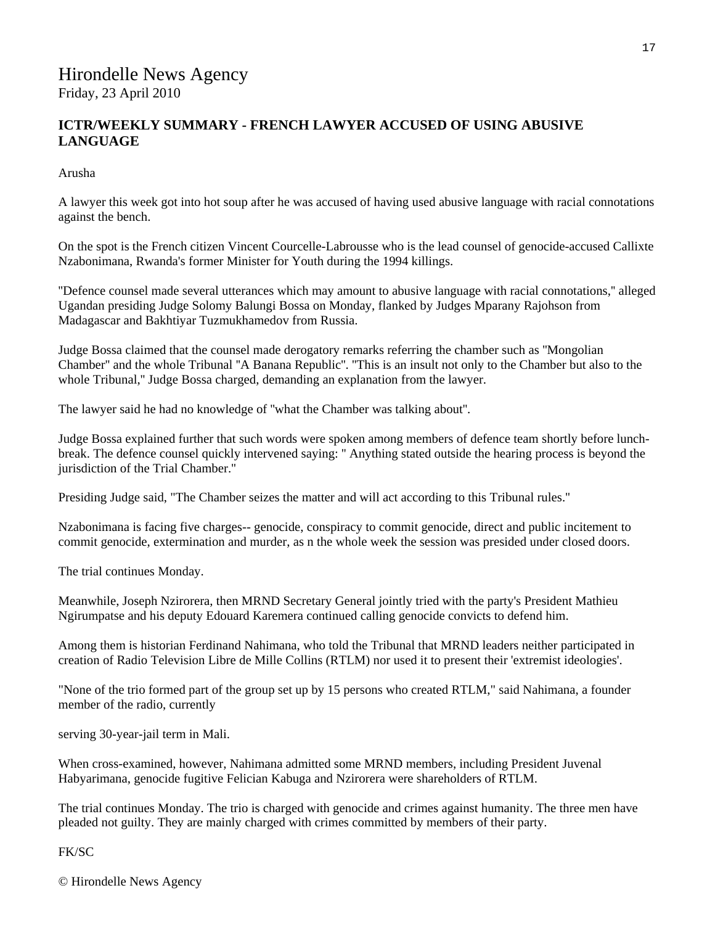# **ICTR/WEEKLY SUMMARY - FRENCH LAWYER ACCUSED OF USING ABUSIVE LANGUAGE**

### Arusha

A lawyer this week got into hot soup after he was accused of having used abusive language with racial connotations against the bench.

On the spot is the French citizen Vincent Courcelle-Labrousse who is the lead counsel of genocide-accused Callixte Nzabonimana, Rwanda's former Minister for Youth during the 1994 killings.

''Defence counsel made several utterances which may amount to abusive language with racial connotations,'' alleged Ugandan presiding Judge Solomy Balungi Bossa on Monday, flanked by Judges Mparany Rajohson from Madagascar and Bakhtiyar Tuzmukhamedov from Russia.

Judge Bossa claimed that the counsel made derogatory remarks referring the chamber such as ''Mongolian Chamber'' and the whole Tribunal ''A Banana Republic''. ''This is an insult not only to the Chamber but also to the whole Tribunal,'' Judge Bossa charged, demanding an explanation from the lawyer.

The lawyer said he had no knowledge of ''what the Chamber was talking about''.

Judge Bossa explained further that such words were spoken among members of defence team shortly before lunchbreak. The defence counsel quickly intervened saying: '' Anything stated outside the hearing process is beyond the jurisdiction of the Trial Chamber.''

Presiding Judge said, "The Chamber seizes the matter and will act according to this Tribunal rules.''

Nzabonimana is facing five charges-- genocide, conspiracy to commit genocide, direct and public incitement to commit genocide, extermination and murder, as n the whole week the session was presided under closed doors.

The trial continues Monday.

Meanwhile, Joseph Nzirorera, then MRND Secretary General jointly tried with the party's President Mathieu Ngirumpatse and his deputy Edouard Karemera continued calling genocide convicts to defend him.

Among them is historian Ferdinand Nahimana, who told the Tribunal that MRND leaders neither participated in creation of Radio Television Libre de Mille Collins (RTLM) nor used it to present their 'extremist ideologies'.

"None of the trio formed part of the group set up by 15 persons who created RTLM," said Nahimana, a founder member of the radio, currently

serving 30-year-jail term in Mali.

When cross-examined, however, Nahimana admitted some MRND members, including President Juvenal Habyarimana, genocide fugitive Felician Kabuga and Nzirorera were shareholders of RTLM.

The trial continues Monday. The trio is charged with genocide and crimes against humanity. The three men have pleaded not guilty. They are mainly charged with crimes committed by members of their party.

### FK/SC

© Hirondelle News Agency